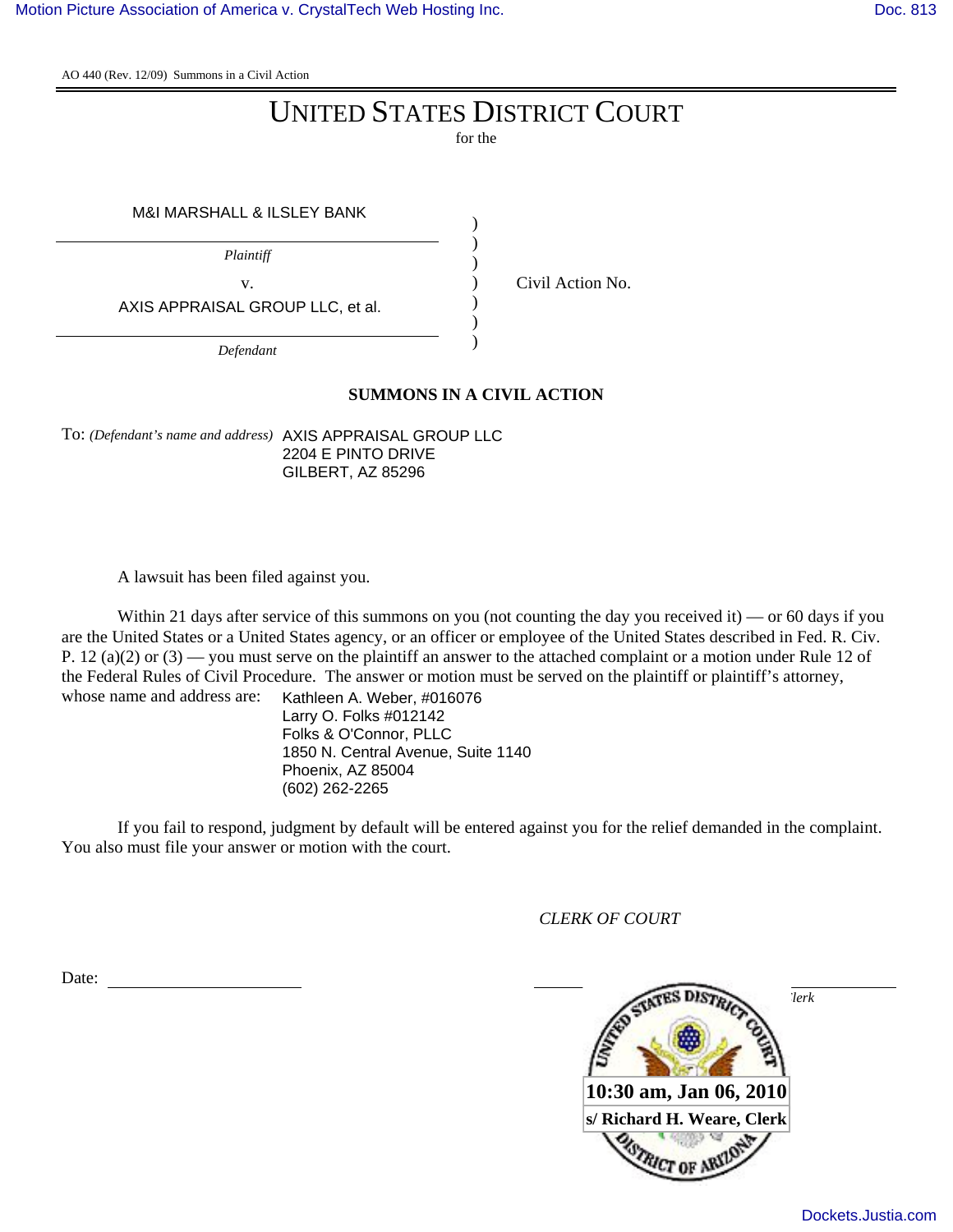AO 440 (Rev. 12/09) Summons in a Civil Action

## UNITED STATES DISTRICT COURT

for the

| M&I MARSHALL & ILSLEY BANK       |  |  |  |  |  |
|----------------------------------|--|--|--|--|--|
| Plaintiff                        |  |  |  |  |  |
| V.                               |  |  |  |  |  |
| AXIS APPRAISAL GROUP LLC, et al. |  |  |  |  |  |
| $\Gamma_{\alpha}$ for done       |  |  |  |  |  |

*Defendant*

## **SUMMONS IN A CIVIL ACTION**

Civil Action No.

To: *(Defendant's name and address)* AXIS APPRAISAL GROUP LLC 2204 E PINTO DRIVE GILBERT, AZ 85296

A lawsuit has been filed against you.

Within 21 days after service of this summons on you (not counting the day you received it) — or 60 days if you are the United States or a United States agency, or an officer or employee of the United States described in Fed. R. Civ. P. 12 (a)(2) or (3) — you must serve on the plaintiff an answer to the attached complaint or a motion under Rule 12 of the Federal Rules of Civil Procedure. The answer or motion must be served on the plaintiff or plaintiff's attorney, whose name and address are:

Kathleen A. Weber, #016076 Larry O. Folks #012142 Folks & O'Connor, PLLC 1850 N. Central Avenue, Suite 1140 Phoenix, AZ 85004 (602) 262-2265

If you fail to respond, judgment by default will be entered against you for the relief demanded in the complaint. You also must file your answer or motion with the court.

*CLERK OF COURT*

Date: